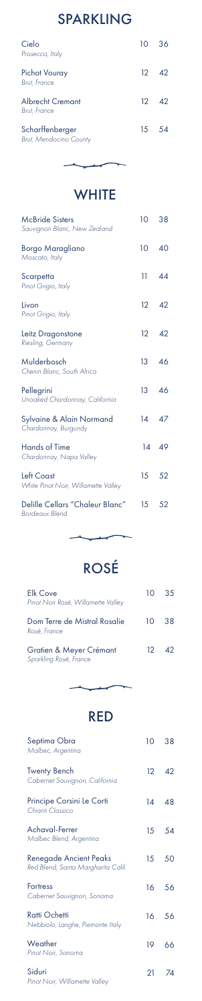| <b>McBride Sisters</b><br>Sauvignon Blanc, New Zealand   | 10               | 38            |
|----------------------------------------------------------|------------------|---------------|
| Borgo Maragliano<br>Moscato, Italy                       | 10 40            |               |
| Scarpetta<br>Pinot Grigio, Italy                         |                  | $11 \quad 44$ |
| Livon<br>Pinot Grigio, Italy                             |                  | $12 \quad 42$ |
| Leitz Dragonstone<br>Riesling, Germany                   |                  | $12 \quad 42$ |
| Mulderbosch<br>Chenin Blanc, South Africa                | 13 46            |               |
| Pellegrini<br>Unoaked Chardonnay, California             |                  | 13 46         |
| Sylvaine & Alain Normand<br>Chardonnay, Burgundy         | 14 47            |               |
| <b>Hands of Time</b><br>Chardonnay, Napa Valley          |                  | 14 49         |
| <b>Left Coast</b><br>White Pinot Noir, Willamette Valley |                  | 15 52         |
| Delille Cellars "Chaleur Blanc"<br><b>Bordeaux Blend</b> | 15 <sup>15</sup> | 52            |

ROSÉ

 $\overline{\phantom{a}}$ 

 $\overline{ }$ 

Elk Cove *Pinot Noir Rosé, Willamette Valley*

| Dom Terre de Mistral Rosalie<br>Rosé, France      | 10 I             | 38       |
|---------------------------------------------------|------------------|----------|
| Gratien & Meyer Crémant<br>Sparkling Rosé, France | 12 <sup>12</sup> | $\Delta$ |



10 35

### RED

| Septima Obra<br>Malbec, Argentina                            | $10-10$         | 38 |
|--------------------------------------------------------------|-----------------|----|
| <b>Twenty Bench</b><br>Cabernet Sauvignon, California        | 12              | 42 |
| Principe Corsini Le Corti<br>Chianti Classico                | 14              | 48 |
| Achaval-Ferrer<br>Malbec Blend, Argentina                    | 15 <sup>7</sup> | 54 |
| Renegade Ancient Peaks<br>Red Blend, Santa Margharita Calif. | 15              | 50 |
| <b>Fortress</b><br>Cabernet Sauvignon, Sonoma                | 16              | 56 |
| <b>Ratti Ochetti</b><br>Nebbiolo, Langhe, Piemonte Italy     | 16              | 56 |
| Weather<br>Pinot Noir, Sonoma                                | 19              | 66 |
| Siduri<br>Pinot Noir, Willamette Valley                      | 21              | 74 |

# SPARKLING

| Cielo<br>Prosecco, Italy                         | 10 36         |
|--------------------------------------------------|---------------|
| <b>Pichot Vouray</b><br><b>Brut, France</b>      | $12 \quad 42$ |
| <b>Albrecht Cremant</b><br>Brut, France          | $12 \quad 42$ |
| Scharffenberger<br><b>Brut, Mendocino County</b> | 15 54         |

**WHITE** 

 $\overline{\phantom{0}}$